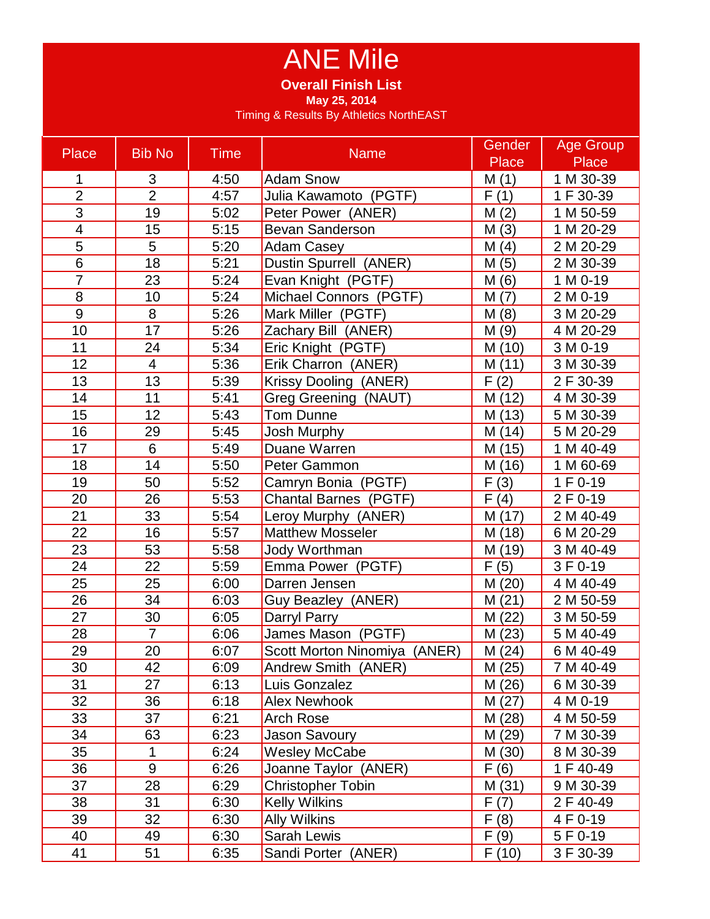## ANE Mile

**Overall Finish List**

**May 25, 2014**

Timing & Results By Athletics NorthEAST

| Place                   | <b>Bib No</b>   | <b>Time</b> | <b>Name</b>                  | Gender       | <b>Age Group</b> |
|-------------------------|-----------------|-------------|------------------------------|--------------|------------------|
|                         |                 |             |                              | <b>Place</b> | <b>Place</b>     |
| 1                       | 3               | 4:50        | <b>Adam Snow</b>             | M(1)         | 1 M 30-39        |
| $\overline{2}$          | $\overline{2}$  | 4:57        | Julia Kawamoto (PGTF)        | F(1)         | 1 F 30-39        |
| 3                       | 19              | 5:02        | Peter Power (ANER)           | M(2)         | 1 M 50-59        |
| $\overline{\mathbf{4}}$ | 15              | 5:15        | Bevan Sanderson              | M(3)         | 1 M 20-29        |
| 5                       | 5               | 5:20        | <b>Adam Casey</b>            | M(4)         | 2 M 20-29        |
| 6                       | 18              | 5:21        | Dustin Spurrell (ANER)       | M(5)         | 2 M 30-39        |
| $\overline{7}$          | 23              | 5:24        | Evan Knight (PGTF)           | M(6)         | 1 M 0-19         |
| 8                       | 10              | 5:24        | Michael Connors (PGTF)       | M(7)         | 2 M 0-19         |
| 9                       | 8               | 5:26        | Mark Miller (PGTF)           | M(8)         | 3 M 20-29        |
| 10                      | 17              | 5:26        | Zachary Bill (ANER)          | M(9)         | 4 M 20-29        |
| 11                      | 24              | 5:34        | Eric Knight (PGTF)           | M (10)       | 3 M 0-19         |
| 12                      | $\overline{4}$  | 5:36        | Erik Charron (ANER)          | M(11)        | 3 M 30-39        |
| 13                      | 13              | 5:39        | Krissy Dooling (ANER)        | F(2)         | 2 F 30-39        |
| 14                      | 11              | 5:41        | Greg Greening (NAUT)         | M (12)       | 4 M 30-39        |
| 15                      | 12              | 5:43        | <b>Tom Dunne</b>             | M (13)       | 5 M 30-39        |
| 16                      | 29              | 5:45        | Josh Murphy                  | M(14)        | 5 M 20-29        |
| 17                      | 6               | 5:49        | Duane Warren                 | M (15)       | 1 M 40-49        |
| 18                      | 14              | 5:50        | Peter Gammon                 | M (16)       | 1 M 60-69        |
| 19                      | 50              | 5:52        | Camryn Bonia (PGTF)          | F(3)         | 1 F 0-19         |
| 20                      | 26              | 5:53        | <b>Chantal Barnes (PGTF)</b> | F(4)         | 2 F 0-19         |
| 21                      | 33              | 5:54        | Leroy Murphy (ANER)          | M (17)       | 2 M 40-49        |
| 22                      | 16              | 5:57        | <b>Matthew Mosseler</b>      | M (18)       | 6 M 20-29        |
| 23                      | 53              | 5:58        | Jody Worthman                | M (19)       | 3 M 40-49        |
| 24                      | 22              | 5:59        | Emma Power (PGTF)            | F(5)         | 3 F 0-19         |
| 25                      | $\overline{25}$ | 6:00        | Darren Jensen                | M (20)       | 4 M 40-49        |
| 26                      | 34              | 6:03        | Guy Beazley (ANER)           | M(21)        | 2 M 50-59        |
| 27                      | 30              | 6:05        | Darryl Parry                 | M(22)        | 3 M 50-59        |
| 28                      | $\overline{7}$  | 6:06        | James Mason (PGTF)           | M(23)        | 5 M 40-49        |
| 29                      | 20              | 6:07        | Scott Morton Ninomiya (ANER) | M(24)        | 6 M 40-49        |
| 30                      | 42              | 6:09        | Andrew Smith (ANER)          | M(25)        | 7 M 40-49        |
| 31                      | 27              | 6:13        | Luis Gonzalez                | M (26)       | 6 M 30-39        |
| 32                      | 36              | 6:18        | Alex Newhook                 | M (27)       | 4 M 0-19         |
| 33                      | 37              | 6:21        | <b>Arch Rose</b>             | M (28)       | 4 M 50-59        |
| 34                      | 63              | 6:23        | Jason Savoury                | M (29)       | 7 M 30-39        |
| 35                      | 1               | 6:24        | <b>Wesley McCabe</b>         | M (30)       | 8 M 30-39        |
| 36                      | 9               | 6:26        | Joanne Taylor (ANER)         | F(6)         | 1 F 40-49        |
| 37                      | 28              | 6:29        | <b>Christopher Tobin</b>     | M (31)       | 9 M 30-39        |
| 38                      | 31              | 6:30        | <b>Kelly Wilkins</b>         | F(7)         | 2 F 40-49        |
| 39                      | 32              | 6:30        | Ally Wilkins                 | F(8)         | 4 F 0-19         |
| 40                      | 49              | 6:30        | <b>Sarah Lewis</b>           | F(9)         | 5 F 0-19         |
| 41                      | 51              | 6:35        | Sandi Porter (ANER)          | F(10)        | 3 F 30-39        |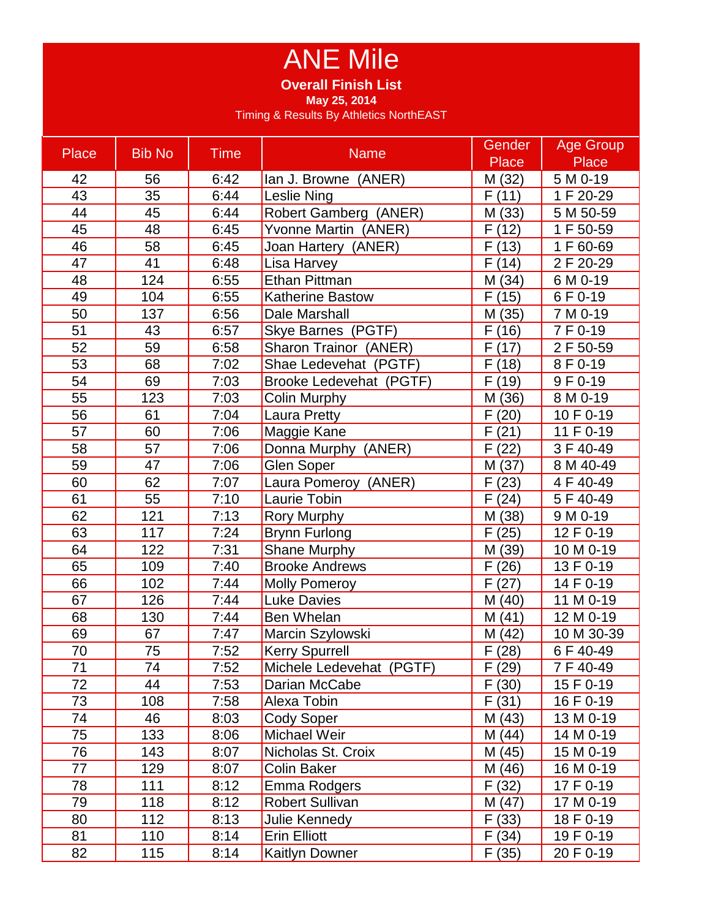## ANE Mile

**Overall Finish List**

**May 25, 2014**

Timing & Results By Athletics NorthEAST

| <b>Place</b> | <b>Bib No</b> | <b>Time</b> | <b>Name</b>              | Gender       | <b>Age Group</b> |
|--------------|---------------|-------------|--------------------------|--------------|------------------|
|              |               |             |                          | <b>Place</b> | <b>Place</b>     |
| 42           | 56            | 6:42        | lan J. Browne (ANER)     | M (32)       | $5 M 0-19$       |
| 43           | 35            | 6:44        | Leslie Ning              | F(11)        | 1 F 20-29        |
| 44           | 45            | 6:44        | Robert Gamberg (ANER)    | M (33)       | 5 M 50-59        |
| 45           | 48            | 6:45        | Yvonne Martin (ANER)     | F(12)        | 1 F 50-59        |
| 46           | 58            | 6:45        | Joan Hartery (ANER)      | F(13)        | 1 F 60-69        |
| 47           | 41            | 6:48        | Lisa Harvey              | F(14)        | 2 F 20-29        |
| 48           | 124           | 6:55        | <b>Ethan Pittman</b>     | M (34)       | 6 M 0-19         |
| 49           | 104           | 6:55        | Katherine Bastow         | F(15)        | 6 F 0-19         |
| 50           | 137           | 6:56        | Dale Marshall            | M (35)       | 7 M 0-19         |
| 51           | 43            | 6:57        | Skye Barnes (PGTF)       | F(16)        | 7 F 0-19         |
| 52           | 59            | 6:58        | Sharon Trainor (ANER)    | F(17)        | 2 F 50-59        |
| 53           | 68            | 7:02        | Shae Ledevehat (PGTF)    | F<br>(18)    | 8 F 0-19         |
| 54           | 69            | 7:03        | Brooke Ledevehat (PGTF)  | F (19)       | 9F 0-19          |
| 55           | 123           | 7:03        | Colin Murphy             | M (36)       | 8 M 0-19         |
| 56           | 61            | 7:04        | Laura Pretty             | F(20)        | 10 F 0-19        |
| 57           | 60            | 7:06        | Maggie Kane              | F(21)        | 11 F 0-19        |
| 58           | 57            | 7:06        | Donna Murphy (ANER)      | (22)<br>F    | 3 F 40-49        |
| 59           | 47            | 7:06        | <b>Glen Soper</b>        | M (37)       | 8 M 40-49        |
| 60           | 62            | 7:07        | Laura Pomeroy (ANER)     | F(23)        | 4 F 40-49        |
| 61           | 55            | 7:10        | Laurie Tobin             | F(24)        | 5 F 40-49        |
| 62           | 121           | 7:13        | Rory Murphy              | M (38)       | 9 M 0-19         |
| 63           | 117           | 7:24        | <b>Brynn Furlong</b>     | F(25)        | 12 F 0-19        |
| 64           | 122           | 7:31        | Shane Murphy             | M (39)       | 10 M 0-19        |
| 65           | 109           | 7:40        | <b>Brooke Andrews</b>    | F(26)        | 13 F 0-19        |
| 66           | 102           | 7:44        | <b>Molly Pomeroy</b>     | F(27)        | 14 F 0-19        |
| 67           | 126           | 7:44        | <b>Luke Davies</b>       | M (40)       | 11 M 0-19        |
| 68           | 130           | 7:44        | Ben Whelan               | M(41)        | 12 M 0-19        |
| 69           | 67            | 7:47        | Marcin Szylowski         | M (42)       | 10 M 30-39       |
| 70           | 75            | 7:52        | <b>Kerry Spurrell</b>    | F(28)        | 6 F 40-49        |
| 71           | 74            | 7:52        | Michele Ledevehat (PGTF) | F(29)        | 7 F 40-49        |
| 72           | 44            | 7:53        | Darian McCabe            | F(30)        | 15 F 0-19        |
| 73           | 108           | 7:58        | Alexa Tobin              | F(31)        | 16 F 0-19        |
| 74           | 46            | 8:03        | <b>Cody Soper</b>        | M (43)       | 13 M 0-19        |
| 75           | 133           | 8:06        | Michael Weir             | M(44)        | 14 M 0-19        |
| 76           | 143           | 8:07        | Nicholas St. Croix       | M (45)       | 15 M 0-19        |
| 77           | 129           | 8:07        | <b>Colin Baker</b>       | M (46)       | 16 M 0-19        |
| 78           | 111           | 8:12        | Emma Rodgers             | F(32)        | 17 F 0-19        |
| 79           | 118           | 8:12        | <b>Robert Sullivan</b>   | M (47)       | 17 M 0-19        |
| 80           | 112           | 8:13        | Julie Kennedy            | F(33)        | 18 F 0-19        |
| 81           | 110           | 8:14        | <b>Erin Elliott</b>      | F(34)        | 19 F 0-19        |
| 82           | 115           | 8:14        | <b>Kaitlyn Downer</b>    | F(35)        | 20 F 0-19        |